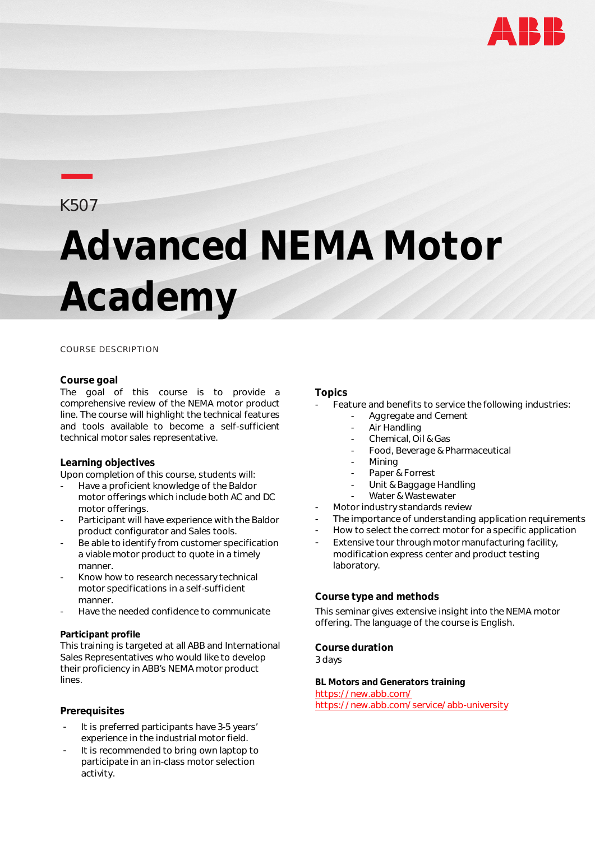

## **—**K507

# **Advanced NEMA Motor Academy**

#### COURSE DESCRIPTION

#### **Course goal**

The goal of this course is to provide a comprehensive review of the NEMA motor product line. The course will highlight the technical features and tools available to become a self-sufficient technical motor sales representative.

#### **Learning objectives**

Upon completion of this course, students will:

- Have a proficient knowledge of the Baldor motor offerings which include both AC and DC motor offerings.
- Participant will have experience with the Baldor product configurator and Sales tools.
- Be able to identify from customer specification a viable motor product to quote in a timely manner.
- Know how to research necessary technical motor specifications in a self-sufficient manner.
- Have the needed confidence to communicate

#### **Participant profile**

This training is targeted at all ABB and International Sales Representatives who would like to develop their proficiency in ABB's NEMA motor product lines.

#### **Prerequisites**

- It is preferred participants have 3-5 years' experience in the industrial motor field.
- It is recommended to bring own laptop to participate in an in-class motor selection activity.

#### **Topics**

- Feature and benefits to service the following industries:
	- Aggregate and Cement
		- Air Handling
	- Chemical, Oil & Gas
	- Food, Beverage & Pharmaceutical
	- **Mining**
	- Paper & Forrest
	- Unit & Baggage Handling
	- Water & Wastewater
- Motor industry standards review
- The importance of understanding application requirements
- How to select the correct motor for a specific application
- Extensive tour through motor manufacturing facility, modification express center and product testing laboratory.

#### **Course type and methods**

This seminar gives extensive insight into the NEMA motor offering. The language of the course is English.

**Course duration** 3 days

**BL Motors and Generators training** <https://new.abb.com/> <https://new.abb.com/service/abb-university>